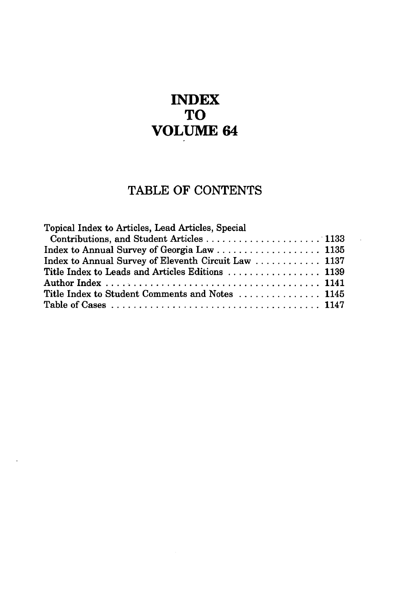# **INDEX TO VOLUME 64**

# TABLE OF **CONTENTS**

| Topical Index to Articles, Lead Articles, Special    |  |
|------------------------------------------------------|--|
|                                                      |  |
| Index to Annual Survey of Georgia Law  1135          |  |
| Index to Annual Survey of Eleventh Circuit Law  1137 |  |
| Title Index to Leads and Articles Editions  1139     |  |
|                                                      |  |
| Title Index to Student Comments and Notes  1145      |  |
|                                                      |  |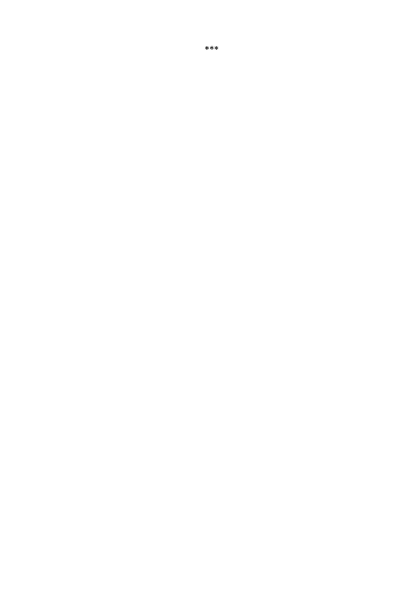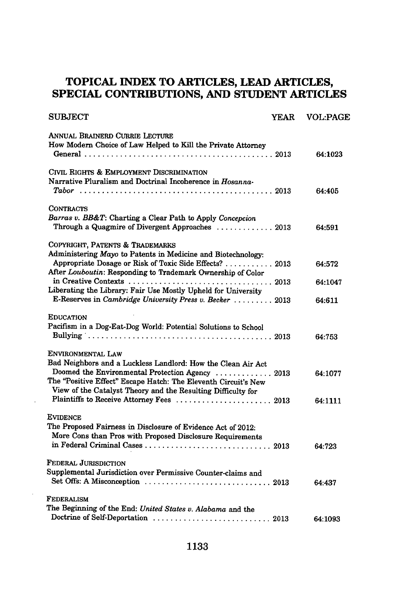#### **TOPICAL INDEX TO ARTICLES, LEAD ARTICLES, SPECIAL CONTRIBUTIONS, AND STUDENT ARTICLES**

| <b>SUBJECT</b>                                                                                                                                                                         | <b>YEAR</b> | <b>VOL:PAGE</b> |
|----------------------------------------------------------------------------------------------------------------------------------------------------------------------------------------|-------------|-----------------|
| ANNUAL BRAINERD CURRIE LECTURE<br>How Modern Choice of Law Helped to Kill the Private Attorney                                                                                         |             | 64:1023         |
| CIVIL RIGHTS & EMPLOYMENT DISCRIMINATION                                                                                                                                               |             |                 |
| Narrative Pluralism and Doctrinal Incoherence in Hosanna-                                                                                                                              |             | 64:405          |
| <b>CONTRACTS</b>                                                                                                                                                                       |             |                 |
| Barras v. BB&T: Charting a Clear Path to Apply Concepcion<br>Through a Quagmire of Divergent Approaches  2013                                                                          |             | 64:591          |
| COPYRIGHT, PATENTS & TRADEMARKS                                                                                                                                                        |             |                 |
| Administering Mayo to Patents in Medicine and Biotechnology:<br>Appropriate Dosage or Risk of Toxic Side Effects?  2013<br>After Louboutin: Responding to Trademark Ownership of Color |             | 64:572          |
|                                                                                                                                                                                        |             | 64:1047         |
| Liberating the Library: Fair Use Mostly Upheld for University<br>E-Reserves in Cambridge University Press v. Becker  2013                                                              |             | 64:611          |
| <b>EDUCATION</b>                                                                                                                                                                       |             |                 |
| Pacifism in a Dog-Eat-Dog World: Potential Solutions to School                                                                                                                         |             | 64:753          |
| <b>ENVIRONMENTAL LAW</b>                                                                                                                                                               |             |                 |
| Bad Neighbors and a Luckless Landlord: How the Clean Air Act<br>Doomed the Environmental Protection Agency  2013                                                                       |             |                 |
| The "Positive Effect" Escape Hatch: The Eleventh Circuit's New                                                                                                                         |             | 64:1077         |
| View of the Catalyst Theory and the Resulting Difficulty for                                                                                                                           |             | 64:1111         |
| <b>EVIDENCE</b>                                                                                                                                                                        |             |                 |
| The Proposed Fairness in Disclosure of Evidence Act of 2012:<br>More Cons than Pros with Proposed Disclosure Requirements                                                              |             |                 |
|                                                                                                                                                                                        |             | 64:723          |
| FEDERAL JURISDICTION                                                                                                                                                                   |             |                 |
| Supplemental Jurisdiction over Permissive Counter-claims and                                                                                                                           |             | 64:437          |
| FEDERALISM                                                                                                                                                                             |             |                 |
| The Beginning of the End: United States v. Alabama and the                                                                                                                             |             |                 |
| Doctrine of Self-Deportation  2013                                                                                                                                                     |             | 64:1093         |

 $\ddot{\phantom{0}}$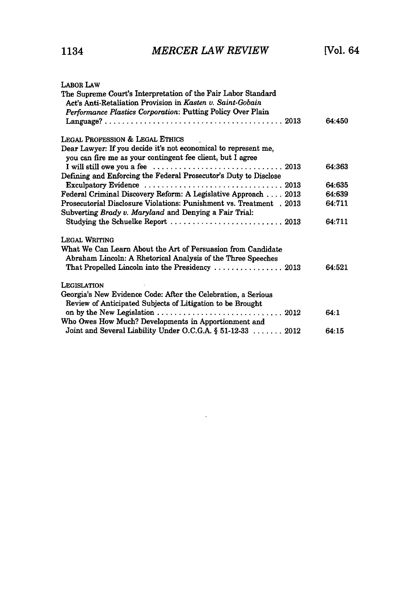| <b>LABOR LAW</b><br>The Supreme Court's Interpretation of the Fair Labor Standard<br>Act's Anti-Retaliation Provision in Kasten v. Saint-Gobain<br><i>Performance Plastics Corporation: Putting Policy Over Plain</i> |        |
|-----------------------------------------------------------------------------------------------------------------------------------------------------------------------------------------------------------------------|--------|
|                                                                                                                                                                                                                       | 64:450 |
| LEGAL PROFESSION & LEGAL ETHICS                                                                                                                                                                                       |        |
| Dear Lawyer: If you decide it's not economical to represent me,<br>you can fire me as your contingent fee client, but I agree                                                                                         |        |
| Defining and Enforcing the Federal Prosecutor's Duty to Disclose                                                                                                                                                      | 64:363 |
|                                                                                                                                                                                                                       | 64:635 |
| Federal Criminal Discovery Reform: A Legislative Approach  2013                                                                                                                                                       | 64:639 |
| Prosecutorial Disclosure Violations: Punishment vs. Treatment . 2013                                                                                                                                                  | 64:711 |
| Subverting Brady v. Maryland and Denying a Fair Trial:                                                                                                                                                                |        |
|                                                                                                                                                                                                                       | 64:711 |
| LEGAL WRITING                                                                                                                                                                                                         |        |
| What We Can Learn About the Art of Persuasion from Candidate<br>Abraham Lincoln: A Rhetorical Analysis of the Three Speeches                                                                                          |        |
|                                                                                                                                                                                                                       | 64:521 |
| LEGISLATION                                                                                                                                                                                                           |        |
| Georgia's New Evidence Code: After the Celebration, a Serious<br>Review of Anticipated Subjects of Litigation to be Brought                                                                                           |        |
| Who Owes How Much? Developments in Apportionment and                                                                                                                                                                  | 64:1   |
| Joint and Several Liability Under O.C.G.A. § 51-12-33  2012                                                                                                                                                           | 64:15  |
|                                                                                                                                                                                                                       |        |

 $\sim 10^{-1}$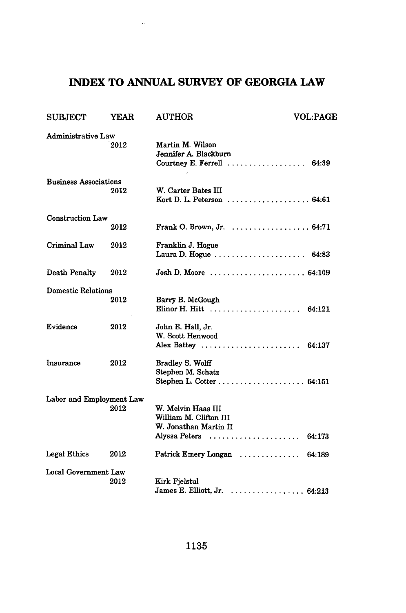## **INDEX TO ANNUAL SURVEY OF GEORGIA LAW**

 $\bar{\mathcal{A}}$ 

| <b>SUBJECT</b>               | YEAR | <b>AUTHOR</b>                                                                          | <b>VOL:PAGE</b> |
|------------------------------|------|----------------------------------------------------------------------------------------|-----------------|
| Administrative Law           | 2012 | Martin M. Wilson<br>Jennifer A. Blackburn<br>Courtney E. Ferrell  64:39                |                 |
| <b>Business Associations</b> | 2012 | W. Carter Bates III<br>Kort D. L. Peterson 64:61                                       |                 |
| <b>Construction Law</b>      | 2012 | Frank O. Brown, Jr. $\dots \dots \dots \dots \dots \dots 64:71$                        |                 |
| Criminal Law                 | 2012 | Franklin J. Hogue<br>Laura D. Hogue  64:83                                             |                 |
| <b>Death Penalty</b>         | 2012 |                                                                                        |                 |
| <b>Domestic Relations</b>    | 2012 | Barry B. McGough                                                                       |                 |
| Evidence                     | 2012 | John E. Hall, Jr.<br>W. Scott Henwood<br>Alex Battey  64:137                           |                 |
| Insurance                    | 2012 | Bradley S. Wolff<br>Stephen M. Schatz                                                  |                 |
| Labor and Employment Law     | 2012 | W. Melvin Haas III<br>William M. Clifton III<br>W. Jonathan Martin II<br>Alyssa Peters | 64:173          |
| Legal Ethics                 | 2012 | Patrick Emery Longan  64:189                                                           |                 |
| Local Government Law         | 2012 | Kirk Fjelstul                                                                          |                 |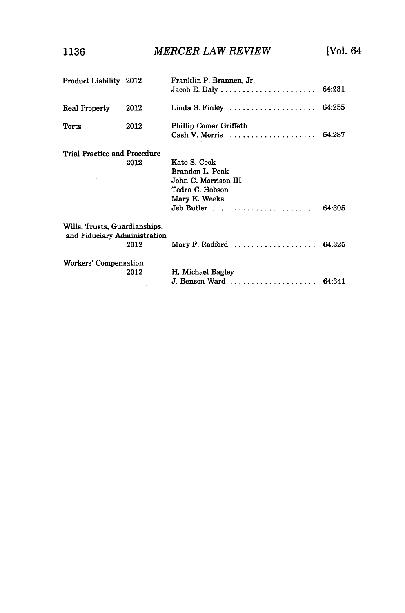| Product Liability 2012                                        |      | Franklin P. Brannen, Jr.                              |        |
|---------------------------------------------------------------|------|-------------------------------------------------------|--------|
| <b>Real Property</b>                                          | 2012 | Linda S. Finley $\dots \dots \dots \dots \dots \dots$ | 64:255 |
| Torts                                                         | 2012 | Phillip Comer Griffeth<br>Cash V. Morris              | 64:287 |
| Trial Practice and Procedure                                  |      |                                                       |        |
|                                                               | 2012 | Kate S. Cook                                          |        |
|                                                               |      | Brandon L. Peak                                       |        |
|                                                               |      | John C. Morrison III                                  |        |
|                                                               |      | Tedra C. Hobson                                       |        |
|                                                               |      | Mary K. Weeks                                         |        |
|                                                               |      | Jeb Butler                                            | 64:305 |
| Wills, Trusts, Guardianships,<br>and Fiduciary Administration |      |                                                       |        |
|                                                               | 2012 | Mary F. Radford  64:325                               |        |
| Workers' Compensation                                         |      |                                                       |        |
|                                                               | 2012 | H. Michael Bagley                                     |        |
|                                                               |      | J. Benson Ward  64:341                                |        |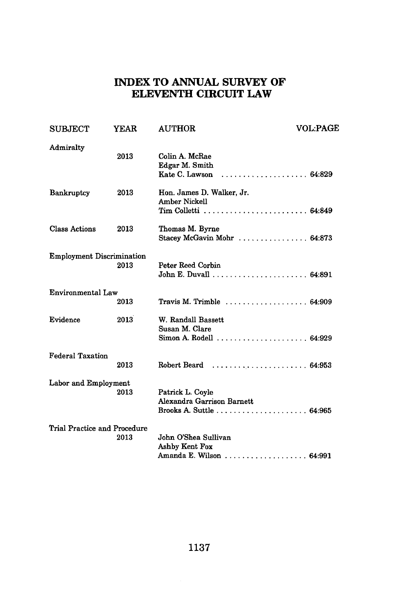#### **INDEX TO ANNUAL SURVEY OF ELEVENTH CIRCUIT LAW**

| <b>SUBJECT</b>                   | YEAR | <b>AUTHOR</b>                                                      | <b>VOL:PAGE</b> |
|----------------------------------|------|--------------------------------------------------------------------|-----------------|
| Admiralty                        | 2013 | Colin A. McRae<br>Edgar M. Smith<br>. 64:829<br>Kate C. Lawson     |                 |
| Bankruptcy                       | 2013 | Hon. James D. Walker, Jr.<br><b>Amber Nickell</b>                  |                 |
| <b>Class Actions</b>             | 2013 | Thomas M. Byrne<br>Stacey McGavin Mohr  64:873                     |                 |
| <b>Employment Discrimination</b> | 2013 | Peter Reed Corbin                                                  |                 |
| Environmental Law                |      |                                                                    |                 |
|                                  | 2013 | Travis M. Trimble  64:909                                          |                 |
| Evidence                         | 2013 | W. Randall Bassett<br>Susan M. Clare                               |                 |
| <b>Federal Taxation</b>          | 2013 | Robert Beard  64:953                                               |                 |
| Labor and Employment             | 2013 | Patrick L. Coyle<br><b>Alexandra Garrison Barnett</b>              |                 |
| Trial Practice and Procedure     | 2013 | John O'Shea Sullivan<br>Ashby Kent Fox<br>Amanda E. Wilson  64:991 |                 |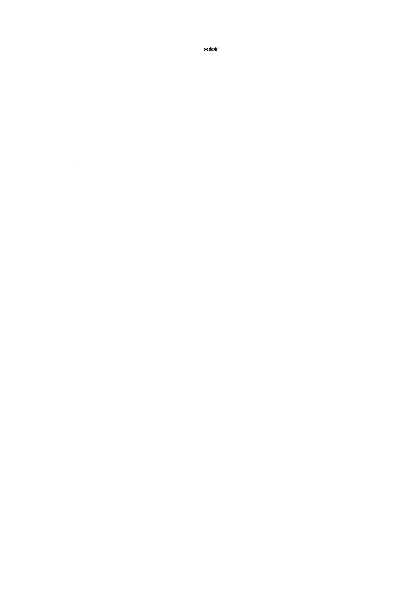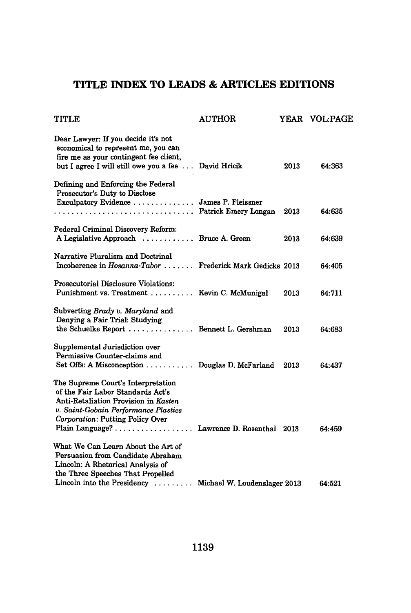#### **TITLE INDEX TO LEADS & ARTICLES EDITIONS**

| <b>TITLE</b>                                                                                                                                                                                                                              | <b>AUTHOR</b> |      | YEAR VOL:PAGE |
|-------------------------------------------------------------------------------------------------------------------------------------------------------------------------------------------------------------------------------------------|---------------|------|---------------|
| Dear Lawyer: If you decide it's not<br>economical to represent me, you can<br>fire me as your contingent fee client,<br>but I agree I will still owe you a fee  David Hricik                                                              |               | 2013 | 64:363        |
| Defining and Enforcing the Federal<br>Prosecutor's Duty to Disclose<br>Exculpatory Evidence  James P. Fleissner<br>Patrick Emery Longan                                                                                                   |               | 2013 | 64:635        |
| Federal Criminal Discovery Reform:<br>A Legislative Approach  Bruce A. Green                                                                                                                                                              |               | 2013 | 64:639        |
| Narrative Pluralism and Doctrinal<br>Incoherence in <i>Hosanna-Tabor</i> Frederick Mark Gedicks 2013                                                                                                                                      |               |      | 64:405        |
| <b>Prosecutorial Disclosure Violations:</b><br>Punishment vs. Treatment Kevin C. McMunigal                                                                                                                                                |               | 2013 | 64:711        |
| Subverting Brady v. Maryland and<br>Denying a Fair Trial: Studying<br>the Schuelke Report  Bennett L. Gershman                                                                                                                            |               | 2013 | 64:683        |
| Supplemental Jurisdiction over<br>Permissive Counter-claims and<br>Set Offs: A Misconception Douglas D. McFarland                                                                                                                         |               | 2013 | 64:437        |
| The Supreme Court's Interpretation<br>of the Fair Labor Standards Act's<br>Anti-Retaliation Provision in Kasten<br>v. Saint-Gobain Performance Plastics<br>Corporation: Putting Policy Over<br>Plain Language? Lawrence D. Rosenthal 2013 |               |      | 64:459        |
| What We Can Learn About the Art of<br>Persuasion from Candidate Abraham<br>Lincoln: A Rhetorical Analysis of<br>the Three Speeches That Propelled                                                                                         |               |      |               |
| Lincoln into the Presidency  Michael W. Loudenslager 2013                                                                                                                                                                                 |               |      | 64:521        |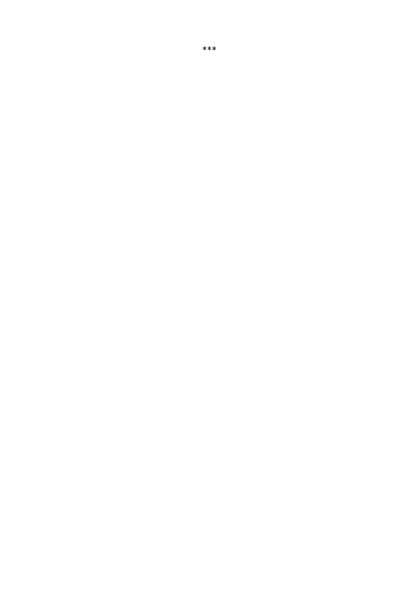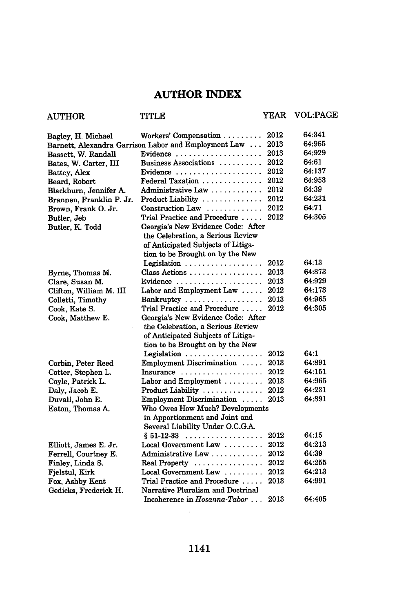## **AUTHOR INDEX**

#### AUTHOR TITLE

YEAR VOL:PAGE

| Bagley, H. Michael       | Workers' Compensation                                | 2012 | 64:341 |
|--------------------------|------------------------------------------------------|------|--------|
|                          | Barnett, Alexandra Garrison Labor and Employment Law | 2013 | 64:965 |
| Bassett, W. Randall      | Evidence                                             | 2013 | 64:929 |
| Bates, W. Carter, III    | Business Associations                                | 2012 | 64:61  |
| Battey, Alex             | Evidence                                             | 2012 | 64:137 |
| Beard, Robert            | Federal Taxation                                     | 2012 | 64:953 |
| Blackburn, Jennifer A.   | Administrative Law                                   | 2012 | 64:39  |
| Brannen, Franklin P. Jr. | Product Liability                                    | 2012 | 64:231 |
| Brown, Frank O. Jr.      | Construction Law                                     | 2012 | 64:71  |
| Butler, Jeb              | Trial Practice and Procedure                         | 2012 | 64:305 |
| Butler, K. Todd          | Georgia's New Evidence Code: After                   |      |        |
|                          | the Celebration, a Serious Review                    |      |        |
|                          | of Anticipated Subjects of Litiga-                   |      |        |
|                          | tion to be Brought on by the New                     |      |        |
|                          | Legislation $\ldots \ldots \ldots \ldots \ldots$     | 2012 | 64:13  |
| Byrne, Thomas M.         | Class Actions                                        | 2013 | 64:873 |
| Clare, Susan M.          | Evidence                                             | 2013 | 64:929 |
| Clifton, William M. III  | Labor and Employment Law                             | 2012 | 64:173 |
| Colletti, Timothy        | Bankruptcy                                           | 2013 | 64:965 |
| Cook, Kate S.            | Trial Practice and Procedure                         | 2012 | 64:305 |
| Cook, Matthew E.         | Georgia's New Evidence Code: After                   |      |        |
|                          | the Celebration, a Serious Review                    |      |        |
|                          | of Anticipated Subjects of Litiga-                   |      |        |
|                          | tion to be Brought on by the New                     |      |        |
|                          | Legislation                                          | 2012 | 64:1   |
| Corbin, Peter Reed       | Employment Discrimination                            | 2013 | 64:891 |
| Cotter, Stephen L.       | Insurance                                            | 2012 | 64:151 |
| Coyle, Patrick L.        | Labor and Employment                                 | 2013 | 64:965 |
| Daly, Jacob E.           | Product Liability                                    | 2012 | 64:231 |
| Duvall, John E.          | Employment Discrimination $\ldots$ .                 | 2013 | 64:891 |
| Eaton, Thomas A.         | Who Owes How Much? Developments                      |      |        |
|                          | in Apportionment and Joint and                       |      |        |
|                          | Several Liability Under O.C.G.A.                     |      |        |
|                          | <b>§ 51-12-33</b><br>.                               | 2012 | 64:15  |
| Elliott, James E. Jr.    | $Local Government Law$                               | 2012 | 64:213 |
| Ferrell, Courtney E.     | Administrative Law                                   | 2012 | 64:39  |
| Finley, Linda S.         | Real Property                                        | 2012 | 64:255 |
| Fjelstul, Kirk           | Local Government Law                                 | 2012 | 64:213 |
| Fox, Ashby Kent          | Trial Practice and Procedure                         | 2013 | 64:991 |
| Gedicks, Frederick H.    | <b>Narrative Pluralism and Doctrinal</b>             |      |        |
|                          | Incoherence in Hosanna-Tabor                         | 2013 | 64:405 |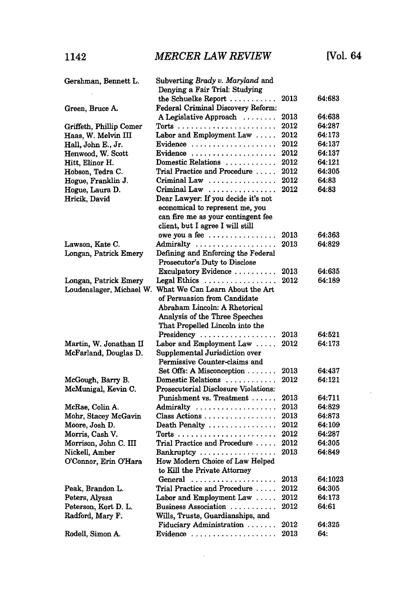| Gershman, Bennett L.     | Subverting Brady v. Maryland and<br>Denying a Fair Trial: Studying |              |         |
|--------------------------|--------------------------------------------------------------------|--------------|---------|
|                          | the Schuelke Report $\ldots \ldots \ldots$                         | 2013         | 64:683  |
|                          | Federal Criminal Discovery Reform:                                 |              |         |
| Green, Bruce A.          |                                                                    |              | 64:638  |
|                          | A Legislative Approach                                             | 2013<br>2012 | 64:287  |
| Griffeth, Phillip Comer  |                                                                    |              |         |
| Haas, W. Melvin III      | Labor and Employment Law $\dots$ .                                 | 2012         | 64:173  |
| Hall, John E., Jr.       | Evidence $\ldots \ldots \ldots \ldots \ldots$                      | 2012         | 64:137  |
| Henwood, W. Scott        | Evidence                                                           | 2012         | 64:137  |
| Hitt, Elinor H.          | Domestic Relations                                                 | 2012         | 64:121  |
| Hobson, Tedra C.         | Trial Practice and Procedure                                       | 2012         | 64:305  |
| Hogue, Franklin J.       | $Criminal$ $Law$ $\ldots \ldots \ldots \ldots \ldots$              | 2012         | 64:83   |
| Hogue, Laura D.          | Criminal Law                                                       | 2012         | 64:83   |
| Hricik, David            | Dear Lawyer: If you decide it's not                                |              |         |
|                          | economical to represent me, you                                    |              |         |
|                          | can fire me as your contingent fee                                 |              |         |
|                          | client, but I agree I will still                                   |              |         |
|                          | owe you a fee $\dots\dots\dots\dots\dots$                          | 2013         | 64:363  |
| Lawson, Kate C.          | Admiralty                                                          | 2013         | 64:829  |
| Longan, Patrick Emery    | Defining and Enforcing the Federal                                 |              |         |
|                          | Prosecutor's Duty to Disclose                                      |              |         |
|                          | Exculpatory Evidence                                               | 2013         | 64:635  |
| Longan, Patrick Emery    | Legal Ethics                                                       | 2012         | 64:189  |
| Loudenslager, Michael W. | What We Can Learn About the Art                                    |              |         |
|                          | of Persuasion from Candidate                                       |              |         |
|                          | Abraham Lincoln: A Rhetorical                                      |              |         |
|                          | Analysis of the Three Speeches                                     |              |         |
|                          | That Propelled Lincoln into the                                    |              |         |
|                          | Presidency                                                         | 2013         | 64:521  |
| Martin, W. Jonathan II   | Labor and Employment Law                                           | 2012         | 64:173  |
| McFarland, Douglas D.    | Supplemental Jurisdiction over                                     |              |         |
|                          | Permissive Counter-claims and                                      |              |         |
|                          | Set Offs: A Misconception                                          | 2013         | 64:437  |
| McGough, Barry B.        | Domestic Relations                                                 | 2012         | 64:121  |
| McMunigal, Kevin C.      | <b>Prosecutorial Disclosure Violations:</b>                        |              |         |
|                          | Punishment vs. Treatment                                           | 2013         | 64:711  |
| McRae, Colin A.          | Admiralty                                                          | 2013         | 64:829  |
| Mohr, Stacey McGavin     | Class Actions                                                      | 2013         | 64:873  |
| Moore, Josh D.           | Death Penalty                                                      | 2012         | 64:109  |
| Morris, Cash V.          |                                                                    | 2012         | 64:287  |
| Morrison, John C. III    | Trial Practice and Procedure                                       | 2012         | 64:305  |
| Nickell, Amber           | Bankruptcy                                                         | 2013         | 64:849  |
| O'Connor, Erin O'Hara    | How Modern Choice of Law Helped                                    |              |         |
|                          | to Kill the Private Attorney                                       |              |         |
|                          | $General \dots \dots \dots \dots \dots \dots \dots$                | 2013         | 64:1023 |
| Peak, Brandon L.         | Trial Practice and Procedure                                       | 2012         | 64:305  |
| Peters, Alyssa           | Labor and Employment Law $\dots$ .                                 | 2012         | 64:173  |
| Peterson, Kort D. L.     | Business Association                                               | 2012         | 64:61   |
| Radford, Mary F.         | Wills, Trusts, Guardianships, and                                  |              |         |
|                          | Fiduciary Administration                                           | 2012         | 64:325  |
| Rodell, Simon A.         |                                                                    | 2013         | 64:     |
|                          |                                                                    |              |         |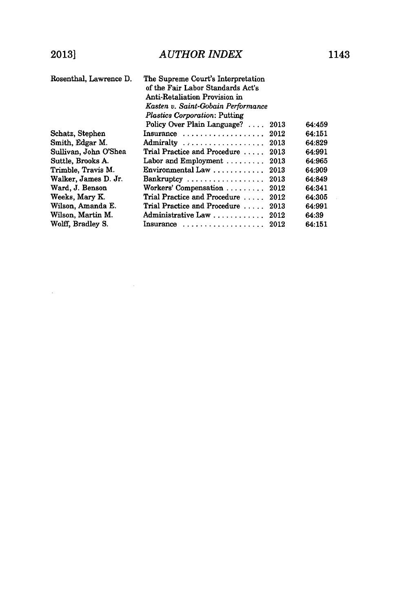$\mathcal{L}^{\text{max}}_{\text{max}}$ 

| Rosenthal, Lawrence D. | The Supreme Court's Interpretation<br>of the Fair Labor Standards Act's<br>Anti-Retaliation Provision in<br>Kasten v. Saint-Gobain Performance<br><i>Plastics Corporation: Putting</i> |      |        |
|------------------------|----------------------------------------------------------------------------------------------------------------------------------------------------------------------------------------|------|--------|
|                        | Policy Over Plain Language? 2013                                                                                                                                                       |      | 64:459 |
| Schatz, Stephen        | Insurance $\ldots \ldots \ldots \ldots \ldots 2012$                                                                                                                                    |      | 64:151 |
| Smith, Edgar M.        | Admiralty $\ldots \ldots \ldots \ldots \ldots$ 2013                                                                                                                                    |      | 64:829 |
| Sullivan, John O'Shea  | Trial Practice and Procedure                                                                                                                                                           | 2013 | 64:991 |
| Suttle, Brooks A.      | Labor and Employment $\dots\dots\dots$                                                                                                                                                 | 2013 | 64:965 |
| Trimble, Travis M.     | Environmental Law $\ldots \ldots \ldots 2013$                                                                                                                                          |      | 64:909 |
| Walker, James D. Jr.   | Bankruptcy $\ldots \ldots \ldots \ldots \ldots 2013$                                                                                                                                   |      | 64:849 |
| Ward, J. Benson        | Workers' Compensation                                                                                                                                                                  | 2012 | 64:341 |
| Weeks, Mary K.         | Trial Practice and Procedure  2012                                                                                                                                                     |      | 64:305 |
| Wilson, Amanda E.      | Trial Practice and Procedure                                                                                                                                                           | 2013 | 64:991 |
| Wilson, Martin M.      | Administrative Law  2012                                                                                                                                                               |      | 64:39  |
| Wolff, Bradley S.      | Insurance $\ldots \ldots \ldots \ldots \ldots 2012$                                                                                                                                    |      | 64:151 |

 $\mathcal{L}^{\text{max}}_{\text{max}}$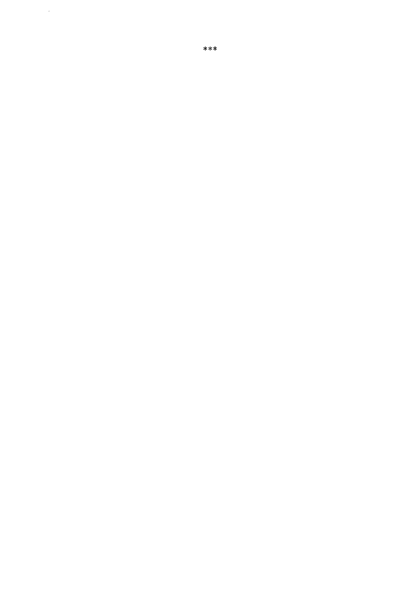

 $***$ 

 $\mathcal{A}^{\mathcal{A}}$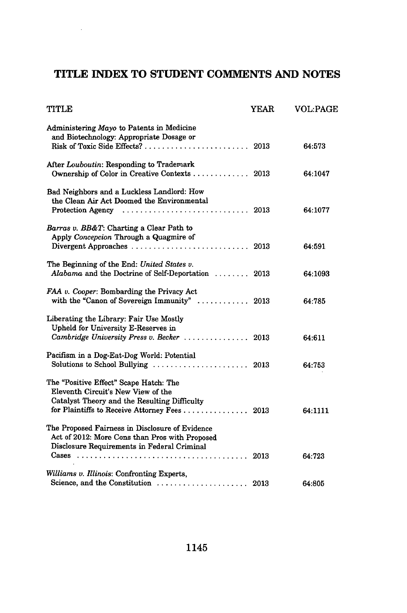## **TITLE INDEX TO STUDENT COMMENTS AND NOTES**

 $\mathcal{L}(\mathcal{L}^{\text{c}})$  and  $\mathcal{L}^{\text{c}}$ 

| TITLE                                                                                                                                                              | <b>YEAR</b> | <b>VOL:PAGE</b> |
|--------------------------------------------------------------------------------------------------------------------------------------------------------------------|-------------|-----------------|
| Administering Mayo to Patents in Medicine<br>and Biotechnology: Appropriate Dosage or                                                                              |             | 64:573          |
| After Louboutin: Responding to Trademark<br>Ownership of Color in Creative Contexts 2013                                                                           |             | 64:1047         |
| Bad Neighbors and a Luckless Landlord: How<br>the Clean Air Act Doomed the Environmental<br>Protection Agency $\dots\dots\dots\dots\dots\dots\dots\dots\dots$ 2013 |             | 64:1077         |
| Barras v. BB&T: Charting a Clear Path to<br>Apply Concepcion Through a Quagmire of                                                                                 |             | 64:591          |
| The Beginning of the End: United States v.<br>Alabama and the Doctrine of Self-Deportation  2013                                                                   |             | 64:1093         |
| FAA v. Cooper: Bombarding the Privacy Act<br>with the "Canon of Sovereign Immunity" $\ldots \ldots \ldots$ 2013                                                    |             | 64:785          |
| Liberating the Library: Fair Use Mostly<br>Upheld for University E-Reserves in<br>Cambridge University Press v. Becker  2013                                       |             | 64:611          |
| Pacifism in a Dog-Eat-Dog World: Potential<br>Solutions to School Bullying  2013                                                                                   |             | 64:753          |
| The "Positive Effect" Scape Hatch: The<br>Eleventh Circuit's New View of the<br>Catalyst Theory and the Resulting Difficulty                                       |             | 64:1111         |
| The Proposed Fairness in Disclosure of Evidence<br>Act of 2012: More Cons than Pros with Proposed<br>Disclosure Requirements in Federal Criminal                   |             |                 |
|                                                                                                                                                                    | 2013        | 64:723          |
| Williams v. Illinois: Confronting Experts,                                                                                                                         |             | 64:805          |